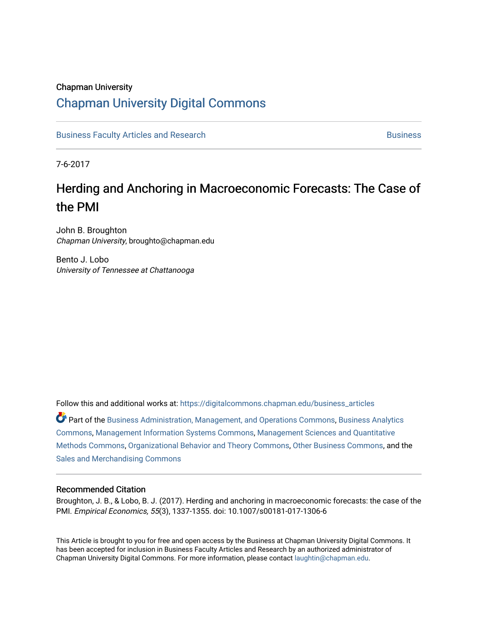# Chapman University [Chapman University Digital Commons](https://digitalcommons.chapman.edu/)

[Business Faculty Articles and Research](https://digitalcommons.chapman.edu/business_articles) [Business](https://digitalcommons.chapman.edu/business) **Business** Business

7-6-2017

# Herding and Anchoring in Macroeconomic Forecasts: The Case of the PMI

John B. Broughton Chapman University, broughto@chapman.edu

Bento J. Lobo University of Tennessee at Chattanooga

Follow this and additional works at: [https://digitalcommons.chapman.edu/business\\_articles](https://digitalcommons.chapman.edu/business_articles?utm_source=digitalcommons.chapman.edu%2Fbusiness_articles%2F71&utm_medium=PDF&utm_campaign=PDFCoverPages) 

Part of the [Business Administration, Management, and Operations Commons](http://network.bepress.com/hgg/discipline/623?utm_source=digitalcommons.chapman.edu%2Fbusiness_articles%2F71&utm_medium=PDF&utm_campaign=PDFCoverPages), [Business Analytics](http://network.bepress.com/hgg/discipline/1398?utm_source=digitalcommons.chapman.edu%2Fbusiness_articles%2F71&utm_medium=PDF&utm_campaign=PDFCoverPages) [Commons](http://network.bepress.com/hgg/discipline/1398?utm_source=digitalcommons.chapman.edu%2Fbusiness_articles%2F71&utm_medium=PDF&utm_campaign=PDFCoverPages), [Management Information Systems Commons](http://network.bepress.com/hgg/discipline/636?utm_source=digitalcommons.chapman.edu%2Fbusiness_articles%2F71&utm_medium=PDF&utm_campaign=PDFCoverPages), [Management Sciences and Quantitative](http://network.bepress.com/hgg/discipline/637?utm_source=digitalcommons.chapman.edu%2Fbusiness_articles%2F71&utm_medium=PDF&utm_campaign=PDFCoverPages) [Methods Commons,](http://network.bepress.com/hgg/discipline/637?utm_source=digitalcommons.chapman.edu%2Fbusiness_articles%2F71&utm_medium=PDF&utm_campaign=PDFCoverPages) [Organizational Behavior and Theory Commons,](http://network.bepress.com/hgg/discipline/639?utm_source=digitalcommons.chapman.edu%2Fbusiness_articles%2F71&utm_medium=PDF&utm_campaign=PDFCoverPages) [Other Business Commons](http://network.bepress.com/hgg/discipline/647?utm_source=digitalcommons.chapman.edu%2Fbusiness_articles%2F71&utm_medium=PDF&utm_campaign=PDFCoverPages), and the [Sales and Merchandising Commons](http://network.bepress.com/hgg/discipline/646?utm_source=digitalcommons.chapman.edu%2Fbusiness_articles%2F71&utm_medium=PDF&utm_campaign=PDFCoverPages)

#### Recommended Citation

Broughton, J. B., & Lobo, B. J. (2017). Herding and anchoring in macroeconomic forecasts: the case of the PMI. Empirical Economics, 55(3), 1337-1355. doi: 10.1007/s00181-017-1306-6

This Article is brought to you for free and open access by the Business at Chapman University Digital Commons. It has been accepted for inclusion in Business Faculty Articles and Research by an authorized administrator of Chapman University Digital Commons. For more information, please contact [laughtin@chapman.edu](mailto:laughtin@chapman.edu).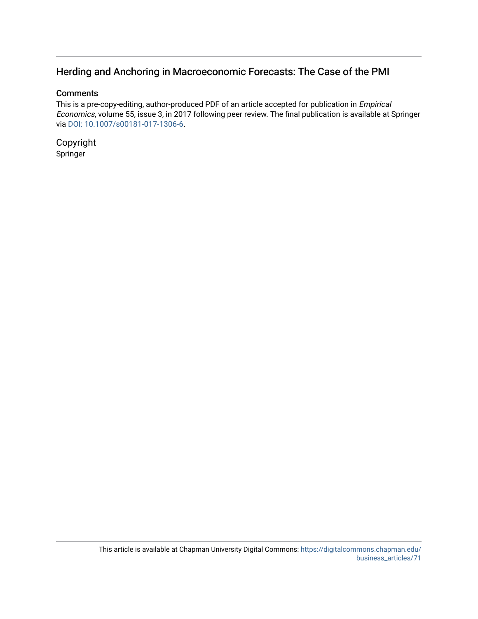# Herding and Anchoring in Macroeconomic Forecasts: The Case of the PMI

#### **Comments**

This is a pre-copy-editing, author-produced PDF of an article accepted for publication in Empirical Economics, volume 55, issue 3, in 2017 following peer review. The final publication is available at Springer via [DOI: 10.1007/s00181-017-1306-6](https://doi.org/10.1007/s00181-017-1306-6).

Copyright Springer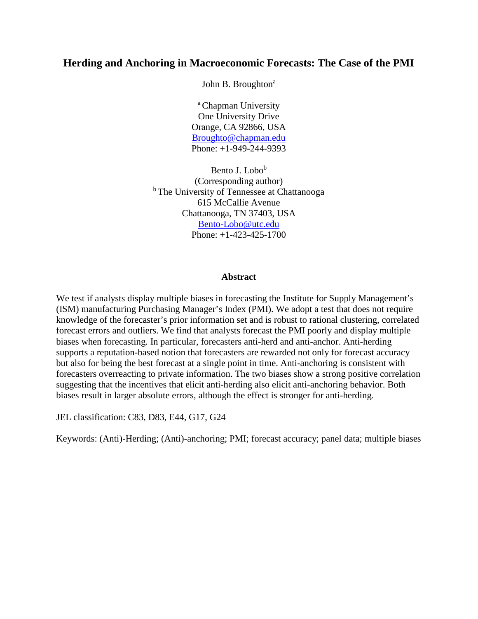# **Herding and Anchoring in Macroeconomic Forecasts: The Case of the PMI**

John B. Broughton<sup>a</sup>

<sup>a</sup> Chapman University One University Drive Orange, CA 92866, USA [Broughto@chapman.edu](mailto:Broughto@chapman.edu) Phone: +1-949-244-9393

Bento J. Lobo<sup>b</sup> (Corresponding author) <sup>b</sup> The University of Tennessee at Chattanooga 615 McCallie Avenue Chattanooga, TN 37403, USA [Bento-Lobo@utc.edu](mailto:Bento-Lobo@utc.edu) Phone: +1-423-425-1700

#### **Abstract**

We test if analysts display multiple biases in forecasting the Institute for Supply Management's (ISM) manufacturing Purchasing Manager's Index (PMI). We adopt a test that does not require knowledge of the forecaster's prior information set and is robust to rational clustering, correlated forecast errors and outliers. We find that analysts forecast the PMI poorly and display multiple biases when forecasting. In particular, forecasters anti-herd and anti-anchor. Anti-herding supports a reputation-based notion that forecasters are rewarded not only for forecast accuracy but also for being the best forecast at a single point in time. Anti-anchoring is consistent with forecasters overreacting to private information. The two biases show a strong positive correlation suggesting that the incentives that elicit anti-herding also elicit anti-anchoring behavior. Both biases result in larger absolute errors, although the effect is stronger for anti-herding.

JEL classification: C83, D83, E44, G17, G24

Keywords: (Anti)-Herding; (Anti)-anchoring; PMI; forecast accuracy; panel data; multiple biases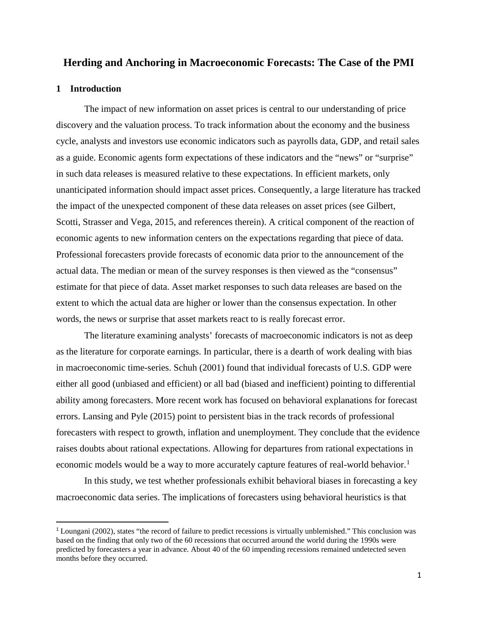### **Herding and Anchoring in Macroeconomic Forecasts: The Case of the PMI**

#### **1 Introduction**

The impact of new information on asset prices is central to our understanding of price discovery and the valuation process. To track information about the economy and the business cycle, analysts and investors use economic indicators such as payrolls data, GDP, and retail sales as a guide. Economic agents form expectations of these indicators and the "news" or "surprise" in such data releases is measured relative to these expectations. In efficient markets, only unanticipated information should impact asset prices. Consequently, a large literature has tracked the impact of the unexpected component of these data releases on asset prices (see Gilbert, Scotti, Strasser and Vega, 2015, and references therein). A critical component of the reaction of economic agents to new information centers on the expectations regarding that piece of data. Professional forecasters provide forecasts of economic data prior to the announcement of the actual data. The median or mean of the survey responses is then viewed as the "consensus" estimate for that piece of data. Asset market responses to such data releases are based on the extent to which the actual data are higher or lower than the consensus expectation. In other words, the news or surprise that asset markets react to is really forecast error.

The literature examining analysts' forecasts of macroeconomic indicators is not as deep as the literature for corporate earnings. In particular, there is a dearth of work dealing with bias in macroeconomic time-series. Schuh (2001) found that individual forecasts of U.S. GDP were either all good (unbiased and efficient) or all bad (biased and inefficient) pointing to differential ability among forecasters. More recent work has focused on behavioral explanations for forecast errors. Lansing and Pyle (2015) point to persistent bias in the track records of professional forecasters with respect to growth, inflation and unemployment. They conclude that the evidence raises doubts about rational expectations. Allowing for departures from rational expectations in economic models would be a way to more accurately capture features of real-world behavior.<sup>[1](#page-3-0)</sup>

In this study, we test whether professionals exhibit behavioral biases in forecasting a key macroeconomic data series. The implications of forecasters using behavioral heuristics is that

<span id="page-3-0"></span><sup>&</sup>lt;sup>1</sup> Loungani (2002), states "the record of failure to predict recessions is virtually unblemished." This conclusion was based on the finding that only two of the 60 recessions that occurred around the world during the 1990s were predicted by forecasters a year in advance. About 40 of the 60 impending recessions remained undetected seven months before they occurred.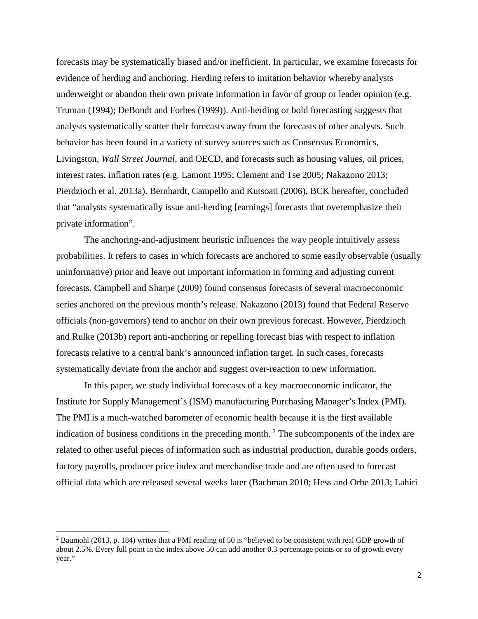forecasts may be systematically biased and/or inefficient. In particular, we examine forecasts for evidence of herding and anchoring. Herding refers to imitation behavior whereby analysts underweight or abandon their own private information in favor of group or leader opinion (e.g. Truman (1994); DeBondt and Forbes (1999)). Anti-herding or bold forecasting suggests that analysts systematically scatter their forecasts away from the forecasts of other analysts. Such behavior has been found in a variety of survey sources such as Consensus Economics, Livingston, *Wall Street Journal*, and OECD, and forecasts such as housing values, oil prices, interest rates, inflation rates (e.g. Lamont 1995; Clement and Tse 2005; Nakazono 2013; Pierdzioch et al. 2013a). Bernhardt, Campello and Kutsoati (2006), BCK hereafter, concluded that "analysts systematically issue anti-herding [earnings] forecasts that overemphasize their private information".

The anchoring-and-adjustment heuristic influences the way people intuitively assess probabilities. It refers to cases in which forecasts are anchored to some easily observable (usually uninformative) prior and leave out important information in forming and adjusting current forecasts. Campbell and Sharpe (2009) found consensus forecasts of several macroeconomic series anchored on the previous month's release. Nakazono (2013) found that Federal Reserve officials (non-governors) tend to anchor on their own previous forecast. However, Pierdzioch and Rulke (2013b) report anti-anchoring or repelling forecast bias with respect to inflation forecasts relative to a central bank's announced inflation target. In such cases, forecasts systematically deviate from the anchor and suggest over-reaction to new information.

In this paper, we study individual forecasts of a key macroeconomic indicator, the Institute for Supply Management's (ISM) manufacturing Purchasing Manager's Index (PMI). The PMI is a much-watched barometer of economic health because it is the first available indication of business conditions in the preceding month.<sup>[2](#page-4-0)</sup> The subcomponents of the index are related to other useful pieces of information such as industrial production, durable goods orders, factory payrolls, producer price index and merchandise trade and are often used to forecast official data which are released several weeks later (Bachman 2010; Hess and Orbe 2013; Lahiri

l

<span id="page-4-0"></span><sup>2</sup> Baumohl (2013, p. 184) writes that a PMI reading of 50 is "believed to be consistent with real GDP growth of about 2.5%. Every full point in the index above 50 can add another 0.3 percentage points or so of growth every year."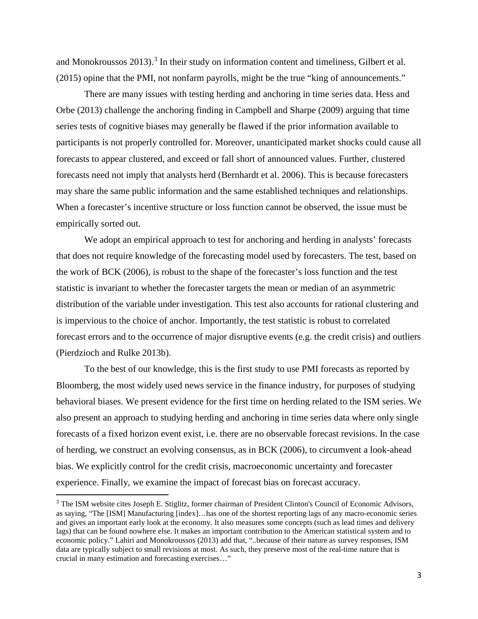and Monokroussos 201[3](#page-5-0)).<sup>3</sup> In their study on information content and timeliness, Gilbert et al. (2015) opine that the PMI, not nonfarm payrolls, might be the true "king of announcements."

There are many issues with testing herding and anchoring in time series data. Hess and Orbe (2013) challenge the anchoring finding in Campbell and Sharpe (2009) arguing that time series tests of cognitive biases may generally be flawed if the prior information available to participants is not properly controlled for. Moreover, unanticipated market shocks could cause all forecasts to appear clustered, and exceed or fall short of announced values. Further, clustered forecasts need not imply that analysts herd (Bernhardt et al. 2006). This is because forecasters may share the same public information and the same established techniques and relationships. When a forecaster's incentive structure or loss function cannot be observed, the issue must be empirically sorted out.

We adopt an empirical approach to test for anchoring and herding in analysts' forecasts that does not require knowledge of the forecasting model used by forecasters. The test, based on the work of BCK (2006), is robust to the shape of the forecaster's loss function and the test statistic is invariant to whether the forecaster targets the mean or median of an asymmetric distribution of the variable under investigation. This test also accounts for rational clustering and is impervious to the choice of anchor. Importantly, the test statistic is robust to correlated forecast errors and to the occurrence of major disruptive events (e.g. the credit crisis) and outliers (Pierdzioch and Rulke 2013b).

To the best of our knowledge, this is the first study to use PMI forecasts as reported by Bloomberg, the most widely used news service in the finance industry, for purposes of studying behavioral biases. We present evidence for the first time on herding related to the ISM series. We also present an approach to studying herding and anchoring in time series data where only single forecasts of a fixed horizon event exist, i.e. there are no observable forecast revisions. In the case of herding, we construct an evolving consensus, as in BCK (2006), to circumvent a look-ahead bias. We explicitly control for the credit crisis, macroeconomic uncertainty and forecaster experience. Finally, we examine the impact of forecast bias on forecast accuracy.

l

<span id="page-5-0"></span><sup>&</sup>lt;sup>3</sup> The ISM website cites Joseph E. Stiglitz, former chairman of President Clinton's Council of Economic Advisors, as saying, "The [ISM] Manufacturing [index]…has one of the shortest reporting lags of any macro-economic series and gives an important early look at the economy. It also measures some concepts (such as lead times and delivery lags) that can be found nowhere else. It makes an important contribution to the American statistical system and to economic policy." Lahiri and Monokroussos (2013) add that, "..because of their nature as survey responses, ISM data are typically subject to small revisions at most. As such, they preserve most of the real-time nature that is crucial in many estimation and forecasting exercises…"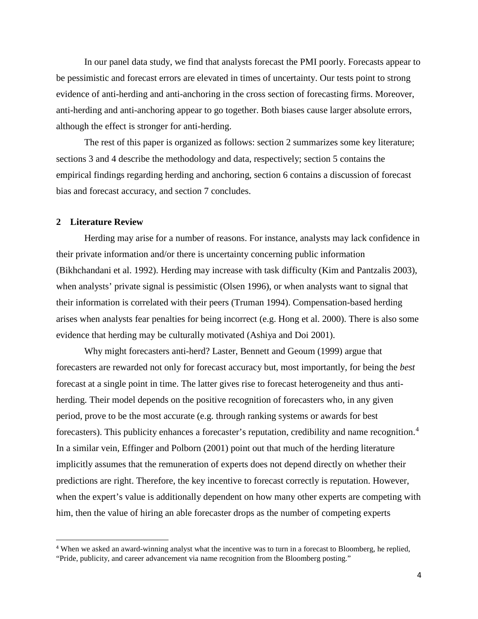In our panel data study, we find that analysts forecast the PMI poorly. Forecasts appear to be pessimistic and forecast errors are elevated in times of uncertainty. Our tests point to strong evidence of anti-herding and anti-anchoring in the cross section of forecasting firms. Moreover, anti-herding and anti-anchoring appear to go together. Both biases cause larger absolute errors, although the effect is stronger for anti-herding.

The rest of this paper is organized as follows: section 2 summarizes some key literature; sections 3 and 4 describe the methodology and data, respectively; section 5 contains the empirical findings regarding herding and anchoring, section 6 contains a discussion of forecast bias and forecast accuracy, and section 7 concludes.

#### **2 Literature Review**

Herding may arise for a number of reasons. For instance, analysts may lack confidence in their private information and/or there is uncertainty concerning public information (Bikhchandani et al. 1992). Herding may increase with task difficulty (Kim and Pantzalis 2003), when analysts' private signal is pessimistic (Olsen 1996), or when analysts want to signal that their information is correlated with their peers (Truman 1994). Compensation-based herding arises when analysts fear penalties for being incorrect (e.g. Hong et al. 2000). There is also some evidence that herding may be culturally motivated (Ashiya and Doi 2001).

Why might forecasters anti-herd? Laster, Bennett and Geoum (1999) argue that forecasters are rewarded not only for forecast accuracy but, most importantly, for being the *best* forecast at a single point in time. The latter gives rise to forecast heterogeneity and thus antiherding. Their model depends on the positive recognition of forecasters who, in any given period, prove to be the most accurate (e.g. through ranking systems or awards for best forecasters). This publicity enhances a forecaster's reputation, credibility and name recognition.<sup>[4](#page-6-0)</sup> In a similar vein, Effinger and Polborn (2001) point out that much of the herding literature implicitly assumes that the remuneration of experts does not depend directly on whether their predictions are right. Therefore, the key incentive to forecast correctly is reputation. However, when the expert's value is additionally dependent on how many other experts are competing with him, then the value of hiring an able forecaster drops as the number of competing experts

<span id="page-6-0"></span> <sup>4</sup> When we asked an award-winning analyst what the incentive was to turn in a forecast to Bloomberg, he replied, "Pride, publicity, and career advancement via name recognition from the Bloomberg posting."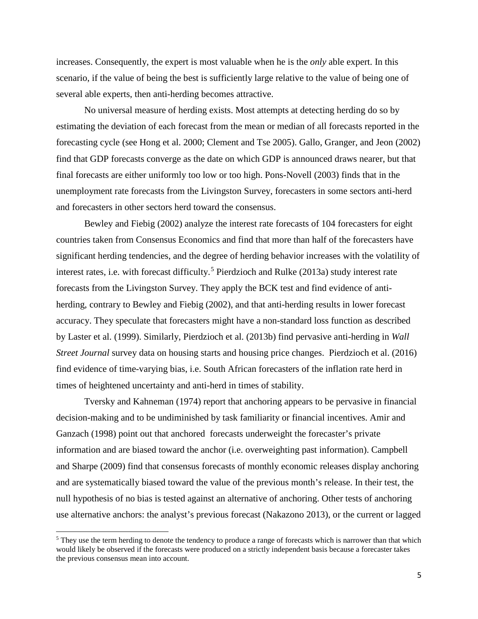increases. Consequently, the expert is most valuable when he is the *only* able expert. In this scenario, if the value of being the best is sufficiently large relative to the value of being one of several able experts, then anti-herding becomes attractive.

No universal measure of herding exists. Most attempts at detecting herding do so by estimating the deviation of each forecast from the mean or median of all forecasts reported in the forecasting cycle (see Hong et al. 2000; Clement and Tse 2005). Gallo, Granger, and Jeon (2002) find that GDP forecasts converge as the date on which GDP is announced draws nearer, but that final forecasts are either uniformly too low or too high. Pons-Novell (2003) finds that in the unemployment rate forecasts from the Livingston Survey, forecasters in some sectors anti-herd and forecasters in other sectors herd toward the consensus.

Bewley and Fiebig (2002) analyze the interest rate forecasts of 104 forecasters for eight countries taken from Consensus Economics and find that more than half of the forecasters have significant herding tendencies, and the degree of herding behavior increases with the volatility of interest rates, i.e. with forecast difficulty. [5](#page-7-0) Pierdzioch and Rulke (2013a) study interest rate forecasts from the Livingston Survey. They apply the BCK test and find evidence of antiherding, contrary to Bewley and Fiebig (2002), and that anti-herding results in lower forecast accuracy. They speculate that forecasters might have a non-standard loss function as described by Laster et al. (1999). Similarly, Pierdzioch et al. (2013b) find pervasive anti-herding in *Wall Street Journal* survey data on housing starts and housing price changes. Pierdzioch et al. (2016) find evidence of time-varying bias, i.e. South African forecasters of the inflation rate herd in times of heightened uncertainty and anti-herd in times of stability.

Tversky and Kahneman (1974) report that anchoring appears to be pervasive in financial decision-making and to be undiminished by task familiarity or financial incentives. Amir and Ganzach (1998) point out that anchored forecasts underweight the forecaster's private information and are biased toward the anchor (i.e. overweighting past information). Campbell and Sharpe (2009) find that consensus forecasts of monthly economic releases display anchoring and are systematically biased toward the value of the previous month's release. In their test, the null hypothesis of no bias is tested against an alternative of anchoring. Other tests of anchoring use alternative anchors: the analyst's previous forecast (Nakazono 2013), or the current or lagged

l

<span id="page-7-0"></span><sup>&</sup>lt;sup>5</sup> They use the term herding to denote the tendency to produce a range of forecasts which is narrower than that which would likely be observed if the forecasts were produced on a strictly independent basis because a forecaster takes the previous consensus mean into account.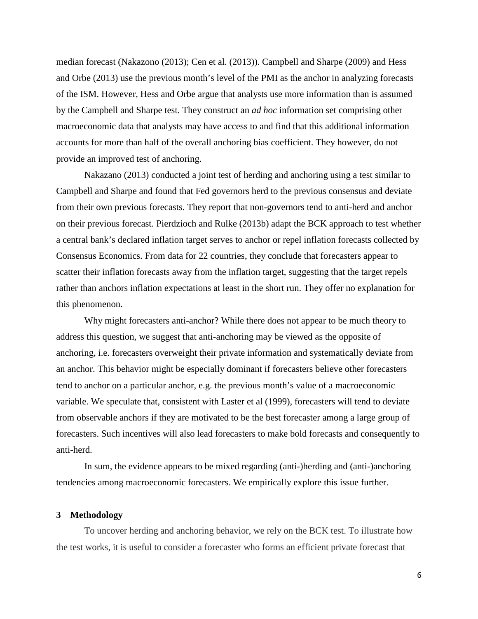median forecast (Nakazono (2013); Cen et al. (2013)). Campbell and Sharpe (2009) and Hess and Orbe (2013) use the previous month's level of the PMI as the anchor in analyzing forecasts of the ISM. However, Hess and Orbe argue that analysts use more information than is assumed by the Campbell and Sharpe test. They construct an *ad hoc* information set comprising other macroeconomic data that analysts may have access to and find that this additional information accounts for more than half of the overall anchoring bias coefficient. They however, do not provide an improved test of anchoring.

Nakazano (2013) conducted a joint test of herding and anchoring using a test similar to Campbell and Sharpe and found that Fed governors herd to the previous consensus and deviate from their own previous forecasts. They report that non-governors tend to anti-herd and anchor on their previous forecast. Pierdzioch and Rulke (2013b) adapt the BCK approach to test whether a central bank's declared inflation target serves to anchor or repel inflation forecasts collected by Consensus Economics. From data for 22 countries, they conclude that forecasters appear to scatter their inflation forecasts away from the inflation target, suggesting that the target repels rather than anchors inflation expectations at least in the short run. They offer no explanation for this phenomenon.

Why might forecasters anti-anchor? While there does not appear to be much theory to address this question, we suggest that anti-anchoring may be viewed as the opposite of anchoring, i.e. forecasters overweight their private information and systematically deviate from an anchor. This behavior might be especially dominant if forecasters believe other forecasters tend to anchor on a particular anchor, e.g. the previous month's value of a macroeconomic variable. We speculate that, consistent with Laster et al (1999), forecasters will tend to deviate from observable anchors if they are motivated to be the best forecaster among a large group of forecasters. Such incentives will also lead forecasters to make bold forecasts and consequently to anti-herd.

In sum, the evidence appears to be mixed regarding (anti-)herding and (anti-)anchoring tendencies among macroeconomic forecasters. We empirically explore this issue further.

#### **3 Methodology**

To uncover herding and anchoring behavior, we rely on the BCK test. To illustrate how the test works, it is useful to consider a forecaster who forms an efficient private forecast that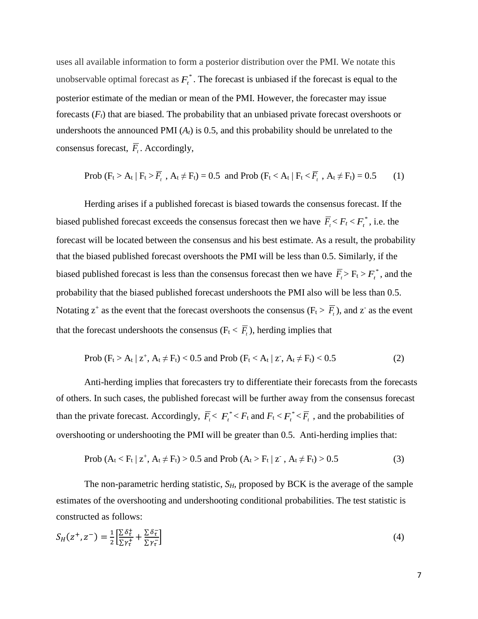uses all available information to form a posterior distribution over the PMI. We notate this unobservable optimal forecast as  $F_t^*$ . The forecast is unbiased if the forecast is equal to the posterior estimate of the median or mean of the PMI. However, the forecaster may issue forecasts (*Ft*) that are biased. The probability that an unbiased private forecast overshoots or undershoots the announced PMI  $(A_t)$  is 0.5, and this probability should be unrelated to the consensus forecast,  $\overline{F}_t$ . Accordingly,

Prob (F<sub>t</sub> > A<sub>t</sub> | F<sub>t</sub> > 
$$
\overline{F}_t
$$
, A<sub>t</sub>  $\neq$  F<sub>t</sub>) = 0.5 and Prob (F<sub>t</sub> < A<sub>t</sub> | F<sub>t</sub>  $\lt$   $\overline{F}_t$ , A<sub>t</sub>  $\neq$  F<sub>t</sub>) = 0.5 (1)

Herding arises if a published forecast is biased towards the consensus forecast. If the biased published forecast exceeds the consensus forecast then we have  $\overline{F}_t \leq F_t \leq F_t^*$ , i.e. the forecast will be located between the consensus and his best estimate. As a result, the probability that the biased published forecast overshoots the PMI will be less than 0.5. Similarly, if the biased published forecast is less than the consensus forecast then we have  $\overline{F}_t$  >  $F_t$  >  $F_t^*$ , and the probability that the biased published forecast undershoots the PMI also will be less than 0.5. Notating  $z^+$  as the event that the forecast overshoots the consensus ( $F_t > \overline{F_t}$ ), and  $z^-$  as the event that the forecast undershoots the consensus ( $F_t < \overline{F_t}$ ), herding implies that

Prob 
$$
(F_t > A_t | z^+, A_t \neq F_t) < 0.5
$$
 and Prob  $(F_t < A_t | z^-, A_t \neq F_t) < 0.5$  (2)

Anti-herding implies that forecasters try to differentiate their forecasts from the forecasts of others. In such cases, the published forecast will be further away from the consensus forecast than the private forecast. Accordingly,  $\overline{F}_t < F_t^* < F_t$  and  $F_t < F_t^* < \overline{F}_t$ , and the probabilities of overshooting or undershooting the PMI will be greater than 0.5. Anti-herding implies that:

Prob 
$$
(A_t < F_t | z^+, A_t \neq F_t) > 0.5
$$
 and Prob  $(A_t > F_t | z^-, A_t \neq F_t) > 0.5$  (3)

The non-parametric herding statistic, *S<sub>H</sub>*, proposed by BCK is the average of the sample estimates of the overshooting and undershooting conditional probabilities. The test statistic is constructed as follows:

$$
S_H(z^+, z^-) = \frac{1}{2} \left[ \frac{\Sigma \delta^+_t}{\Sigma \gamma^+_t} + \frac{\Sigma \delta^-_t}{\Sigma \gamma^-_t} \right] \tag{4}
$$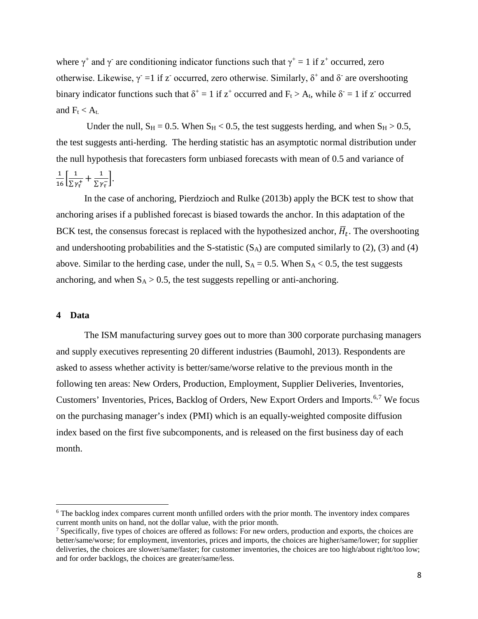where  $\gamma^+$  and  $\gamma^-$  are conditioning indicator functions such that  $\gamma^+ = 1$  if  $z^+$  occurred, zero otherwise. Likewise,  $\gamma = 1$  if z occurred, zero otherwise. Similarly,  $\delta^+$  and  $\delta^-$  are overshooting binary indicator functions such that  $\delta^+ = 1$  if  $z^+$  occurred and  $F_t > A_t$ , while  $\delta^- = 1$  if z<sup>-</sup> occurred and  $F_t < A_t$ .

Under the null,  $S_H = 0.5$ . When  $S_H < 0.5$ , the test suggests herding, and when  $S_H > 0.5$ , the test suggests anti-herding. The herding statistic has an asymptotic normal distribution under the null hypothesis that forecasters form unbiased forecasts with mean of 0.5 and variance of  $\frac{1}{16} \left[ \frac{1}{\sum \gamma_{\tau}^{+}} + \frac{1}{\sum \gamma_{\tau}^{-}} \right].$ 

In the case of anchoring, Pierdzioch and Rulke (2013b) apply the BCK test to show that anchoring arises if a published forecast is biased towards the anchor. In this adaptation of the BCK test, the consensus forecast is replaced with the hypothesized anchor,  $\overline{H}_t$ . The overshooting and undershooting probabilities and the S-statistic  $(S_A)$  are computed similarly to (2), (3) and (4) above. Similar to the herding case, under the null,  $S_A = 0.5$ . When  $S_A < 0.5$ , the test suggests anchoring, and when  $S_A > 0.5$ , the test suggests repelling or anti-anchoring.

#### **4 Data**

 $\overline{a}$ 

The ISM manufacturing survey goes out to more than 300 corporate purchasing managers and supply executives representing 20 different industries (Baumohl, 2013). Respondents are asked to assess whether activity is better/same/worse relative to the previous month in the following ten areas: New Orders, Production, Employment, Supplier Deliveries, Inventories, Customers' Inventories, Prices, Backlog of Orders, New Export Orders and Imports.[6](#page-10-0),[7](#page-10-1) We focus on the purchasing manager's index (PMI) which is an equally-weighted composite diffusion index based on the first five subcomponents, and is released on the first business day of each month.

<span id="page-10-0"></span><sup>6</sup> The backlog index compares current month unfilled orders with the prior month. The inventory index compares current month units on hand, not the dollar value, with the prior month.

<span id="page-10-1"></span><sup>&</sup>lt;sup>7</sup> Specifically, five types of choices are offered as follows: For new orders, production and exports, the choices are better/same/worse; for employment, inventories, prices and imports, the choices are higher/same/lower; for supplier deliveries, the choices are slower/same/faster; for customer inventories, the choices are too high/about right/too low; and for order backlogs, the choices are greater/same/less.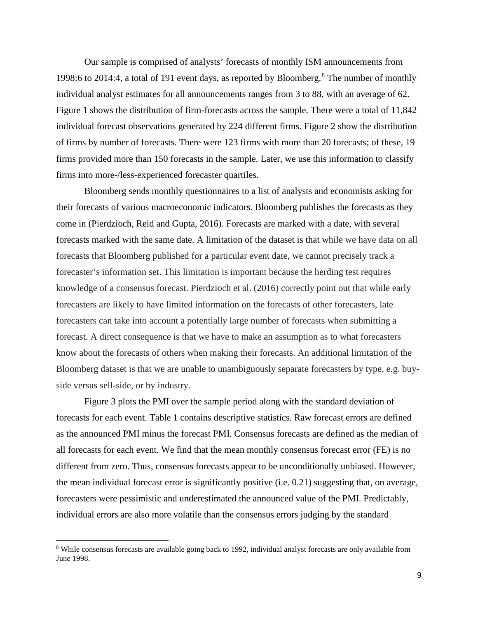Our sample is comprised of analysts' forecasts of monthly ISM announcements from 199[8](#page-11-0):6 to 2014:4, a total of 191 event days, as reported by Bloomberg.<sup>8</sup> The number of monthly individual analyst estimates for all announcements ranges from 3 to 88, with an average of 62. Figure 1 shows the distribution of firm-forecasts across the sample. There were a total of 11,842 individual forecast observations generated by 224 different firms. Figure 2 show the distribution of firms by number of forecasts. There were 123 firms with more than 20 forecasts; of these, 19 firms provided more than 150 forecasts in the sample. Later, we use this information to classify firms into more-/less-experienced forecaster quartiles.

Bloomberg sends monthly questionnaires to a list of analysts and economists asking for their forecasts of various macroeconomic indicators. Bloomberg publishes the forecasts as they come in (Pierdzioch, Reid and Gupta, 2016). Forecasts are marked with a date, with several forecasts marked with the same date. A limitation of the dataset is that while we have data on all forecasts that Bloomberg published for a particular event date, we cannot precisely track a forecaster's information set. This limitation is important because the herding test requires knowledge of a consensus forecast. Pierdzioch et al. (2016) correctly point out that while early forecasters are likely to have limited information on the forecasts of other forecasters, late forecasters can take into account a potentially large number of forecasts when submitting a forecast. A direct consequence is that we have to make an assumption as to what forecasters know about the forecasts of others when making their forecasts. An additional limitation of the Bloomberg dataset is that we are unable to unambiguously separate forecasters by type, e.g. buyside versus sell-side, or by industry.

Figure 3 plots the PMI over the sample period along with the standard deviation of forecasts for each event. Table 1 contains descriptive statistics. Raw forecast errors are defined as the announced PMI minus the forecast PMI. Consensus forecasts are defined as the median of all forecasts for each event. We find that the mean monthly consensus forecast error (FE) is no different from zero. Thus, consensus forecasts appear to be unconditionally unbiased. However, the mean individual forecast error is significantly positive (i.e. 0.21) suggesting that, on average, forecasters were pessimistic and underestimated the announced value of the PMI. Predictably, individual errors are also more volatile than the consensus errors judging by the standard

l

<span id="page-11-0"></span><sup>8</sup> While consensus forecasts are available going back to 1992, individual analyst forecasts are only available from June 1998.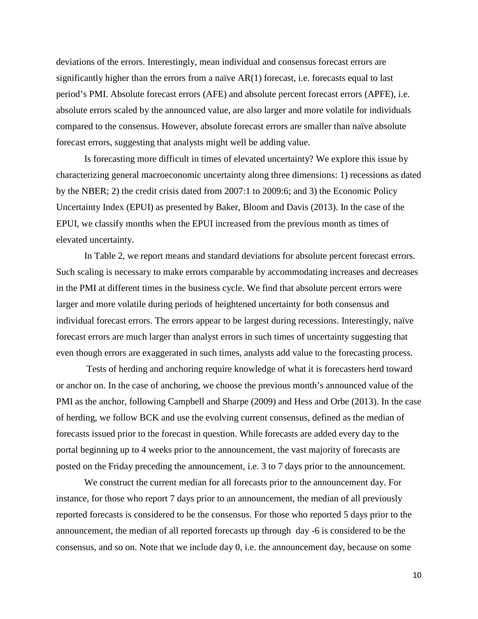deviations of the errors. Interestingly, mean individual and consensus forecast errors are significantly higher than the errors from a naïve  $AR(1)$  forecast, i.e. forecasts equal to last period's PMI. Absolute forecast errors (AFE) and absolute percent forecast errors (APFE), i.e. absolute errors scaled by the announced value, are also larger and more volatile for individuals compared to the consensus. However, absolute forecast errors are smaller than naïve absolute forecast errors, suggesting that analysts might well be adding value.

Is forecasting more difficult in times of elevated uncertainty? We explore this issue by characterizing general macroeconomic uncertainty along three dimensions: 1) recessions as dated by the NBER; 2) the credit crisis dated from 2007:1 to 2009:6; and 3) the Economic Policy Uncertainty Index (EPUI) as presented by Baker, Bloom and Davis (2013). In the case of the EPUI, we classify months when the EPUI increased from the previous month as times of elevated uncertainty.

In Table 2, we report means and standard deviations for absolute percent forecast errors. Such scaling is necessary to make errors comparable by accommodating increases and decreases in the PMI at different times in the business cycle. We find that absolute percent errors were larger and more volatile during periods of heightened uncertainty for both consensus and individual forecast errors. The errors appear to be largest during recessions. Interestingly, naïve forecast errors are much larger than analyst errors in such times of uncertainty suggesting that even though errors are exaggerated in such times, analysts add value to the forecasting process.

Tests of herding and anchoring require knowledge of what it is forecasters herd toward or anchor on. In the case of anchoring, we choose the previous month's announced value of the PMI as the anchor, following Campbell and Sharpe (2009) and Hess and Orbe (2013). In the case of herding, we follow BCK and use the evolving current consensus, defined as the median of forecasts issued prior to the forecast in question. While forecasts are added every day to the portal beginning up to 4 weeks prior to the announcement, the vast majority of forecasts are posted on the Friday preceding the announcement, i.e. 3 to 7 days prior to the announcement.

We construct the current median for all forecasts prior to the announcement day. For instance, for those who report 7 days prior to an announcement, the median of all previously reported forecasts is considered to be the consensus. For those who reported 5 days prior to the announcement, the median of all reported forecasts up through day -6 is considered to be the consensus, and so on. Note that we include day 0, i.e. the announcement day, because on some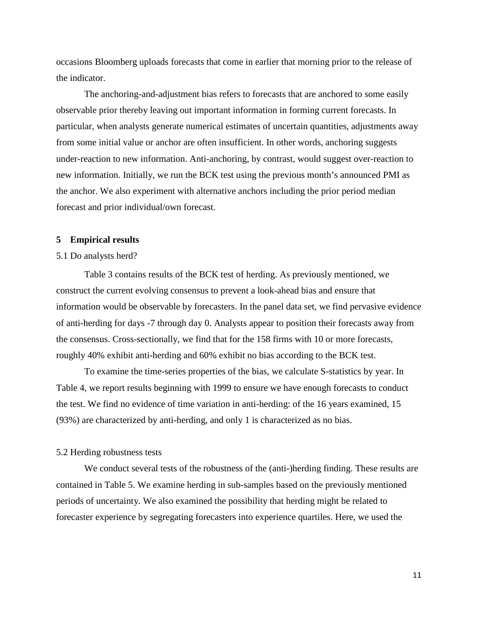occasions Bloomberg uploads forecasts that come in earlier that morning prior to the release of the indicator.

The anchoring-and-adjustment bias refers to forecasts that are anchored to some easily observable prior thereby leaving out important information in forming current forecasts. In particular, when analysts generate numerical estimates of uncertain quantities, adjustments away from some initial value or anchor are often insufficient. In other words, anchoring suggests under-reaction to new information. Anti-anchoring, by contrast, would suggest over-reaction to new information. Initially, we run the BCK test using the previous month's announced PMI as the anchor. We also experiment with alternative anchors including the prior period median forecast and prior individual/own forecast.

#### **5 Empirical results**

#### 5.1 Do analysts herd?

Table 3 contains results of the BCK test of herding. As previously mentioned, we construct the current evolving consensus to prevent a look-ahead bias and ensure that information would be observable by forecasters. In the panel data set, we find pervasive evidence of anti-herding for days -7 through day 0. Analysts appear to position their forecasts away from the consensus. Cross-sectionally, we find that for the 158 firms with 10 or more forecasts, roughly 40% exhibit anti-herding and 60% exhibit no bias according to the BCK test.

To examine the time-series properties of the bias, we calculate S-statistics by year. In Table 4, we report results beginning with 1999 to ensure we have enough forecasts to conduct the test. We find no evidence of time variation in anti-herding: of the 16 years examined, 15 (93%) are characterized by anti-herding, and only 1 is characterized as no bias.

#### 5.2 Herding robustness tests

We conduct several tests of the robustness of the (anti-)herding finding. These results are contained in Table 5. We examine herding in sub-samples based on the previously mentioned periods of uncertainty. We also examined the possibility that herding might be related to forecaster experience by segregating forecasters into experience quartiles. Here, we used the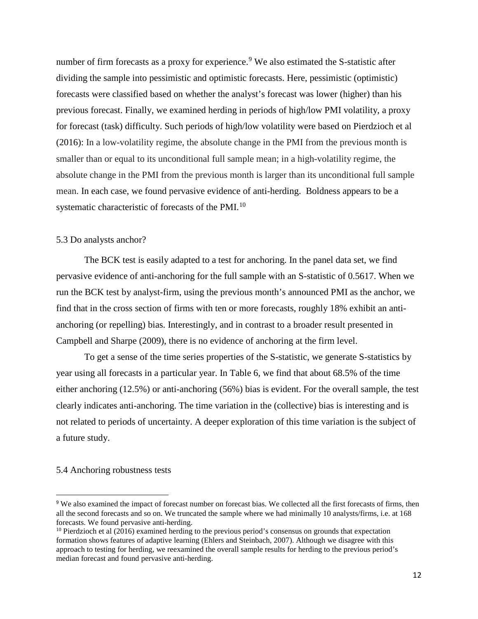number of firm forecasts as a proxy for experience.<sup>[9](#page-14-0)</sup> We also estimated the S-statistic after dividing the sample into pessimistic and optimistic forecasts. Here, pessimistic (optimistic) forecasts were classified based on whether the analyst's forecast was lower (higher) than his previous forecast. Finally, we examined herding in periods of high/low PMI volatility, a proxy for forecast (task) difficulty. Such periods of high/low volatility were based on Pierdzioch et al (2016): In a low-volatility regime, the absolute change in the PMI from the previous month is smaller than or equal to its unconditional full sample mean; in a high-volatility regime, the absolute change in the PMI from the previous month is larger than its unconditional full sample mean. In each case, we found pervasive evidence of anti-herding. Boldness appears to be a systematic characteristic of forecasts of the PMI.<sup>[10](#page-14-1)</sup>

#### 5.3 Do analysts anchor?

The BCK test is easily adapted to a test for anchoring. In the panel data set, we find pervasive evidence of anti-anchoring for the full sample with an S-statistic of 0.5617. When we run the BCK test by analyst-firm, using the previous month's announced PMI as the anchor, we find that in the cross section of firms with ten or more forecasts, roughly 18% exhibit an antianchoring (or repelling) bias. Interestingly, and in contrast to a broader result presented in Campbell and Sharpe (2009), there is no evidence of anchoring at the firm level.

To get a sense of the time series properties of the S-statistic, we generate S-statistics by year using all forecasts in a particular year. In Table 6, we find that about 68.5% of the time either anchoring (12.5%) or anti-anchoring (56%) bias is evident. For the overall sample, the test clearly indicates anti-anchoring. The time variation in the (collective) bias is interesting and is not related to periods of uncertainty. A deeper exploration of this time variation is the subject of a future study.

#### 5.4 Anchoring robustness tests

<span id="page-14-0"></span> <sup>9</sup> We also examined the impact of forecast number on forecast bias. We collected all the first forecasts of firms, then all the second forecasts and so on. We truncated the sample where we had minimally 10 analysts/firms, i.e. at 168 forecasts. We found pervasive anti-herding.

<span id="page-14-1"></span> $10$  Pierdzioch et al (2016) examined herding to the previous period's consensus on grounds that expectation formation shows features of adaptive learning (Ehlers and Steinbach, 2007). Although we disagree with this approach to testing for herding, we reexamined the overall sample results for herding to the previous period's median forecast and found pervasive anti-herding.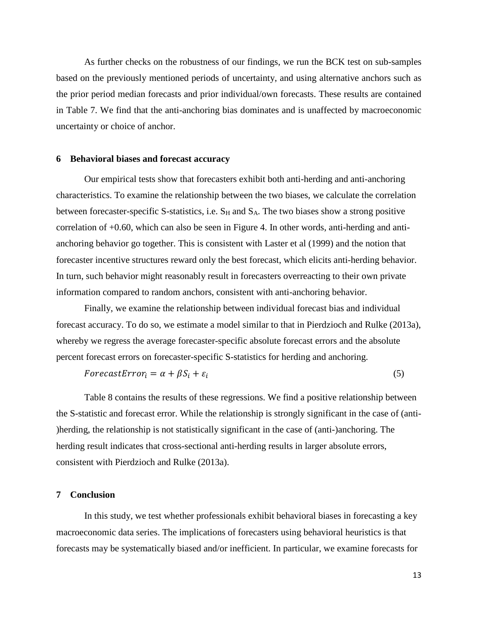As further checks on the robustness of our findings, we run the BCK test on sub-samples based on the previously mentioned periods of uncertainty, and using alternative anchors such as the prior period median forecasts and prior individual/own forecasts. These results are contained in Table 7. We find that the anti-anchoring bias dominates and is unaffected by macroeconomic uncertainty or choice of anchor.

#### **6 Behavioral biases and forecast accuracy**

Our empirical tests show that forecasters exhibit both anti-herding and anti-anchoring characteristics. To examine the relationship between the two biases, we calculate the correlation between forecaster-specific S-statistics, i.e.  $S_H$  and  $S_A$ . The two biases show a strong positive correlation of +0.60, which can also be seen in Figure 4. In other words, anti-herding and antianchoring behavior go together. This is consistent with Laster et al (1999) and the notion that forecaster incentive structures reward only the best forecast, which elicits anti-herding behavior. In turn, such behavior might reasonably result in forecasters overreacting to their own private information compared to random anchors, consistent with anti-anchoring behavior.

Finally, we examine the relationship between individual forecast bias and individual forecast accuracy. To do so, we estimate a model similar to that in Pierdzioch and Rulke (2013a), whereby we regress the average forecaster-specific absolute forecast errors and the absolute percent forecast errors on forecaster-specific S-statistics for herding and anchoring.

$$
For ecastError_i = \alpha + \beta S_i + \varepsilon_i \tag{5}
$$

Table 8 contains the results of these regressions. We find a positive relationship between the S-statistic and forecast error. While the relationship is strongly significant in the case of (anti- )herding, the relationship is not statistically significant in the case of (anti-)anchoring. The herding result indicates that cross-sectional anti-herding results in larger absolute errors, consistent with Pierdzioch and Rulke (2013a).

#### **7 Conclusion**

In this study, we test whether professionals exhibit behavioral biases in forecasting a key macroeconomic data series. The implications of forecasters using behavioral heuristics is that forecasts may be systematically biased and/or inefficient. In particular, we examine forecasts for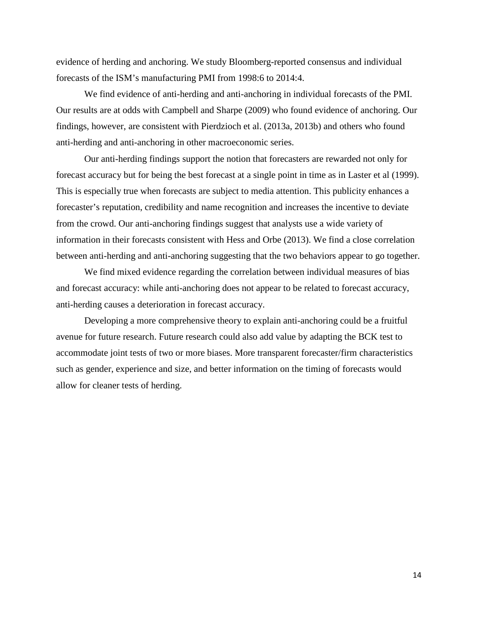evidence of herding and anchoring. We study Bloomberg-reported consensus and individual forecasts of the ISM's manufacturing PMI from 1998:6 to 2014:4.

We find evidence of anti-herding and anti-anchoring in individual forecasts of the PMI. Our results are at odds with Campbell and Sharpe (2009) who found evidence of anchoring. Our findings, however, are consistent with Pierdzioch et al. (2013a, 2013b) and others who found anti-herding and anti-anchoring in other macroeconomic series.

Our anti-herding findings support the notion that forecasters are rewarded not only for forecast accuracy but for being the best forecast at a single point in time as in Laster et al (1999). This is especially true when forecasts are subject to media attention. This publicity enhances a forecaster's reputation, credibility and name recognition and increases the incentive to deviate from the crowd. Our anti-anchoring findings suggest that analysts use a wide variety of information in their forecasts consistent with Hess and Orbe (2013). We find a close correlation between anti-herding and anti-anchoring suggesting that the two behaviors appear to go together.

We find mixed evidence regarding the correlation between individual measures of bias and forecast accuracy: while anti-anchoring does not appear to be related to forecast accuracy, anti-herding causes a deterioration in forecast accuracy.

Developing a more comprehensive theory to explain anti-anchoring could be a fruitful avenue for future research. Future research could also add value by adapting the BCK test to accommodate joint tests of two or more biases. More transparent forecaster/firm characteristics such as gender, experience and size, and better information on the timing of forecasts would allow for cleaner tests of herding.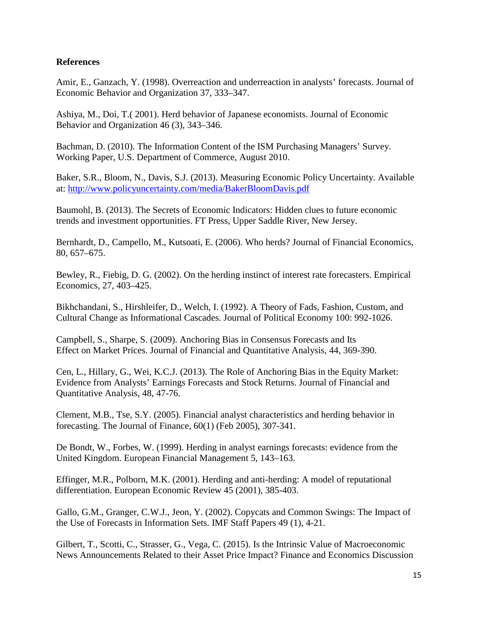### **References**

Amir, E., Ganzach, Y. (1998). Overreaction and underreaction in analysts' forecasts. Journal of Economic Behavior and Organization 37, 333–347.

Ashiya, M., Doi, T.( 2001). Herd behavior of Japanese economists. Journal of Economic Behavior and Organization 46 (3), 343–346.

Bachman, D. (2010). The Information Content of the ISM Purchasing Managers' Survey. Working Paper, U.S. Department of Commerce, August 2010.

Baker, S.R., Bloom, N., Davis, S.J. (2013). Measuring Economic Policy Uncertainty. Available at:<http://www.policyuncertainty.com/media/BakerBloomDavis.pdf>

Baumohl, B. (2013). The Secrets of Economic Indicators: Hidden clues to future economic trends and investment opportunities. FT Press, Upper Saddle River, New Jersey.

Bernhardt, D., Campello, M., Kutsoati, E. (2006). Who herds? Journal of Financial Economics, 80, 657–675.

Bewley, R., Fiebig, D. G. (2002). On the herding instinct of interest rate forecasters. Empirical Economics, 27, 403–425.

Bikhchandani, S., Hirshleifer, D., Welch, I. (1992). A Theory of Fads, Fashion, Custom, and Cultural Change as Informational Cascades. Journal of Political Economy 100: 992-1026.

Campbell, S., Sharpe, S. (2009). Anchoring Bias in Consensus Forecasts and Its Effect on Market Prices. Journal of Financial and Quantitative Analysis, 44, 369-390.

Cen, L., Hillary, G., Wei, K.C.J. (2013). The Role of Anchoring Bias in the Equity Market: Evidence from Analysts' Earnings Forecasts and Stock Returns. Journal of Financial and Quantitative Analysis, 48, 47-76.

Clement, M.B., Tse, S.Y. (2005). Financial analyst characteristics and herding behavior in forecasting. The Journal of Finance, 60(1) (Feb 2005), 307-341.

De Bondt, W., Forbes, W. (1999). Herding in analyst earnings forecasts: evidence from the United Kingdom. European Financial Management 5, 143–163.

Effinger, M.R., Polborn, M.K. (2001). Herding and anti-herding: A model of reputational differentiation. European Economic Review 45 (2001), 385-403.

Gallo, G.M., Granger, C.W.J., Jeon, Y. (2002). Copycats and Common Swings: The Impact of the Use of Forecasts in Information Sets. IMF Staff Papers 49 (1), 4-21.

Gilbert, T., Scotti, C., Strasser, G., Vega, C. (2015). Is the Intrinsic Value of Macroeconomic News Announcements Related to their Asset Price Impact? Finance and Economics Discussion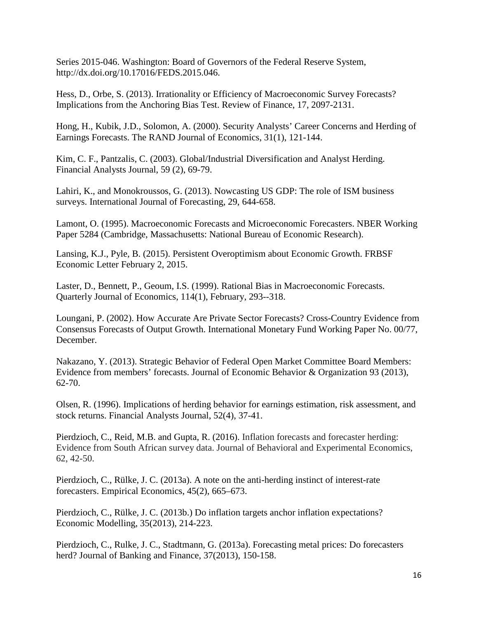Series 2015-046. Washington: Board of Governors of the Federal Reserve System, http://dx.doi.org/10.17016/FEDS.2015.046.

Hess, D., Orbe, S. (2013). Irrationality or Efficiency of Macroeconomic Survey Forecasts? Implications from the Anchoring Bias Test. Review of Finance, 17, 2097-2131.

Hong, H., Kubik, J.D., Solomon, A. (2000). Security Analysts' Career Concerns and Herding of Earnings Forecasts. The RAND Journal of Economics, 31(1), 121-144.

Kim, C. F., Pantzalis, C. (2003). Global/Industrial Diversification and Analyst Herding. Financial Analysts Journal, 59 (2), 69-79.

Lahiri, K., and Monokroussos, G. (2013). Nowcasting US GDP: The role of ISM business surveys. International Journal of Forecasting, 29, 644-658.

Lamont, O. (1995). Macroeconomic Forecasts and Microeconomic Forecasters. NBER Working Paper 5284 (Cambridge, Massachusetts: National Bureau of Economic Research).

Lansing, K.J., Pyle, B. (2015). Persistent Overoptimism about Economic Growth. FRBSF Economic Letter February 2, 2015.

Laster, D., Bennett, P., Geoum, I.S. (1999). Rational Bias in Macroeconomic Forecasts. Quarterly Journal of Economics, 114(1), February, 293--318.

Loungani, P. (2002). How Accurate Are Private Sector Forecasts? Cross-Country Evidence from Consensus Forecasts of Output Growth. International Monetary Fund Working Paper No. 00/77, December.

Nakazano, Y. (2013). Strategic Behavior of Federal Open Market Committee Board Members: Evidence from members' forecasts. Journal of Economic Behavior & Organization 93 (2013), 62-70.

Olsen, R. (1996). Implications of herding behavior for earnings estimation, risk assessment, and stock returns. Financial Analysts Journal, 52(4), 37-41.

Pierdzioch, C., Reid, M.B. and Gupta, R. (2016). Inflation forecasts and forecaster herding: Evidence from South African survey data. Journal of Behavioral and Experimental Economics, 62, 42-50.

Pierdzioch, C., Rülke, J. C. (2013a). A note on the anti-herding instinct of interest-rate forecasters. Empirical Economics, 45(2), 665–673.

Pierdzioch, C., Rülke, J. C. (2013b.) Do inflation targets anchor inflation expectations? Economic Modelling, 35(2013), 214-223.

Pierdzioch, C., Rulke, J. C., Stadtmann, G. (2013a). Forecasting metal prices: Do forecasters herd? Journal of Banking and Finance, 37(2013), 150-158.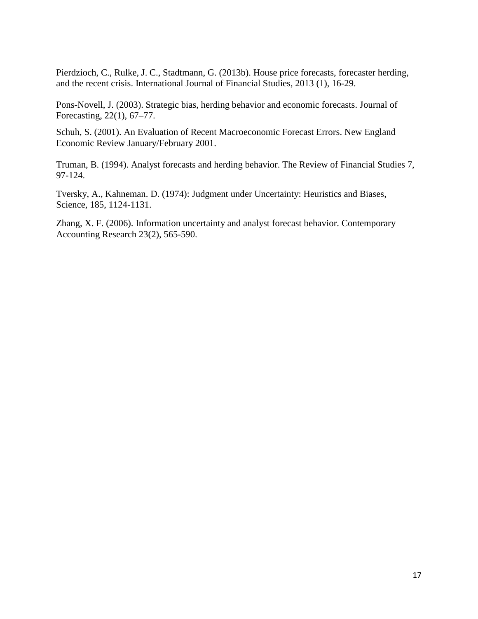Pierdzioch, C., Rulke, J. C., Stadtmann, G. (2013b). House price forecasts, forecaster herding, and the recent crisis. International Journal of Financial Studies, 2013 (1), 16-29.

Pons-Novell, J. (2003). Strategic bias, herding behavior and economic forecasts. Journal of Forecasting, 22(1), 67–77.

Schuh, S. (2001). An Evaluation of Recent Macroeconomic Forecast Errors. New England Economic Review January/February 2001.

Truman, B. (1994). Analyst forecasts and herding behavior. The Review of Financial Studies 7, 97-124.

Tversky, A., Kahneman. D. (1974): Judgment under Uncertainty: Heuristics and Biases, Science, 185, 1124-1131.

Zhang, X. F. (2006). Information uncertainty and analyst forecast behavior. Contemporary Accounting Research 23(2), 565-590.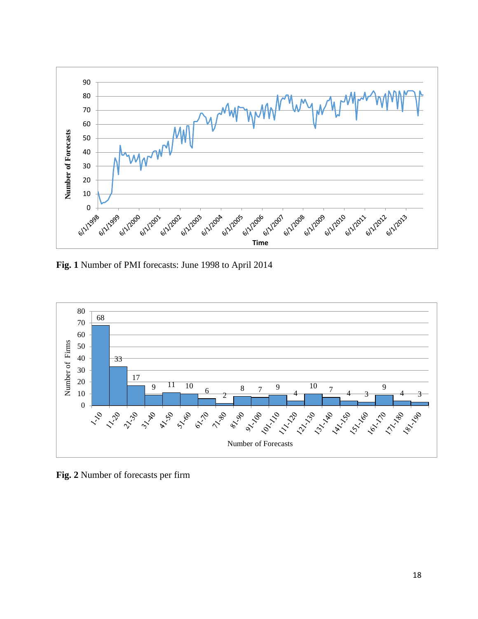

**Fig. 1** Number of PMI forecasts: June 1998 to April 2014



**Fig. 2** Number of forecasts per firm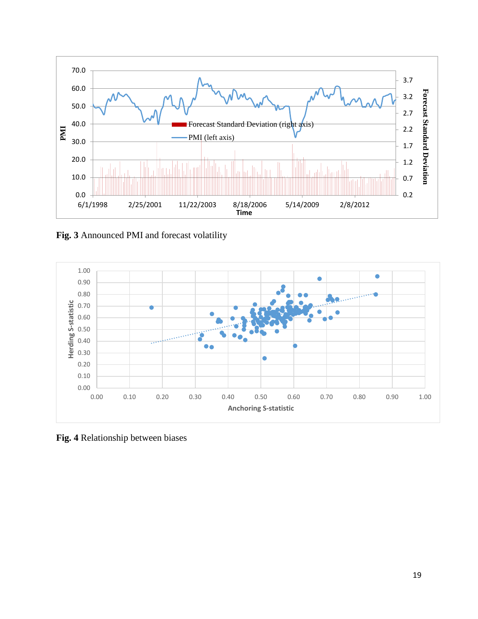

**Fig. 3** Announced PMI and forecast volatility



**Fig. 4** Relationship between biases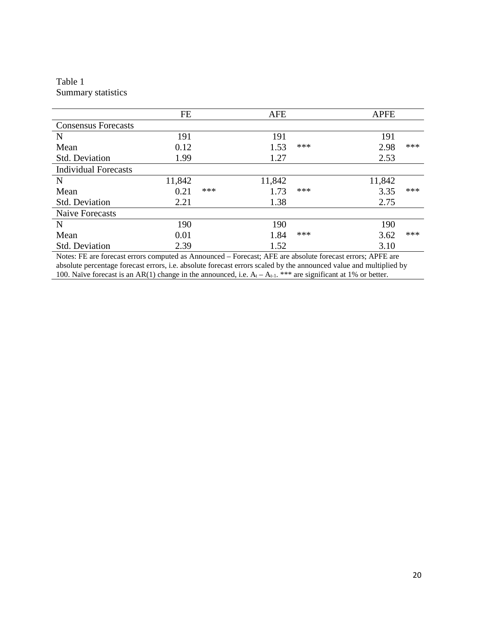### Table 1 Summary statistics

|                             | FE     |     | <b>AFE</b> |     | <b>APFE</b> |     |
|-----------------------------|--------|-----|------------|-----|-------------|-----|
| <b>Consensus Forecasts</b>  |        |     |            |     |             |     |
| $\mathbf N$                 | 191    |     | 191        |     | 191         |     |
| Mean                        | 0.12   |     | 1.53       | *** | 2.98        | *** |
| <b>Std. Deviation</b>       | 1.99   |     | 1.27       |     | 2.53        |     |
| <b>Individual Forecasts</b> |        |     |            |     |             |     |
| N                           | 11,842 |     | 11,842     |     | 11,842      |     |
| Mean                        | 0.21   | *** | 1.73       | *** | 3.35        | *** |
| <b>Std. Deviation</b>       | 2.21   |     | 1.38       |     | 2.75        |     |
| <b>Naive Forecasts</b>      |        |     |            |     |             |     |
| N                           | 190    |     | 190        |     | 190         |     |
| Mean                        | 0.01   |     | 1.84       | *** | 3.62        | *** |
| <b>Std. Deviation</b>       | 2.39   |     | 1.52       |     | 3.10        |     |

Notes: FE are forecast errors computed as Announced – Forecast; AFE are absolute forecast errors; APFE are absolute percentage forecast errors, i.e. absolute forecast errors scaled by the announced value and multiplied by 100. Naïve forecast is an AR(1) change in the announced, i.e.  $A_t - A_{t-1}$ . \*\*\* are significant at 1% or better.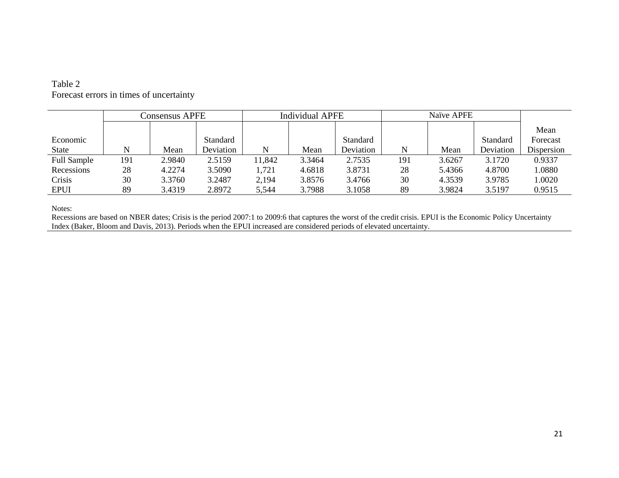### Table 2 Forecast errors in times of uncertainty

|                    | <b>Consensus APFE</b> |        |                 | <b>Individual APFE</b> |        |           | Naïve APFE |        |           |            |
|--------------------|-----------------------|--------|-----------------|------------------------|--------|-----------|------------|--------|-----------|------------|
|                    |                       |        |                 |                        |        |           |            |        |           | Mean       |
| Economic           |                       |        | <b>Standard</b> |                        |        | Standard  |            |        | Standard  | Forecast   |
| State              | N                     | Mean   | Deviation       | N                      | Mean   | Deviation | N          | Mean   | Deviation | Dispersion |
| <b>Full Sample</b> | 191                   | 2.9840 | 2.5159          | 11,842                 | 3.3464 | 2.7535    | 191        | 3.6267 | 3.1720    | 0.9337     |
| Recessions         | 28                    | 4.2274 | 3.5090          | 1,721                  | 4.6818 | 3.8731    | 28         | 5.4366 | 4.8700    | 1.0880     |
| Crisis             | 30                    | 3.3760 | 3.2487          | 2,194                  | 3.8576 | 3.4766    | 30         | 4.3539 | 3.9785    | 1.0020     |
| <b>EPUI</b>        | 89                    | 3.4319 | 2.8972          | 5,544                  | 3.7988 | 3.1058    | 89         | 3.9824 | 3.5197    | 0.9515     |

Notes:

Recessions are based on NBER dates; Crisis is the period 2007:1 to 2009:6 that captures the worst of the credit crisis. EPUI is the Economic Policy Uncertainty Index (Baker, Bloom and Davis, 2013). Periods when the EPUI increased are considered periods of elevated uncertainty.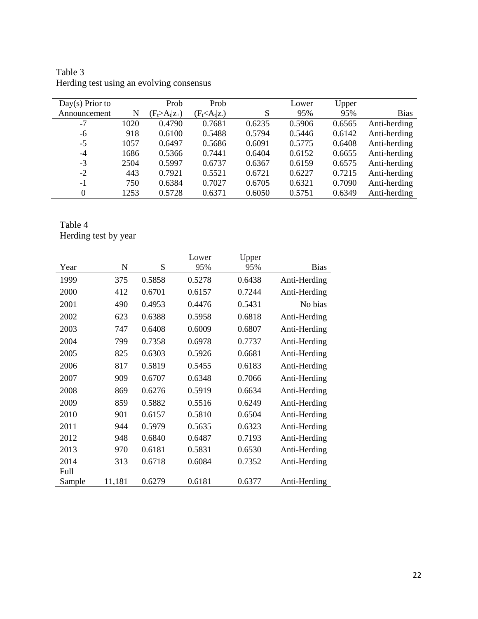| $Day(s)$ Prior to |      | Prob                | Prob              |        | Lower  | Upper  |              |
|-------------------|------|---------------------|-------------------|--------|--------|--------|--------------|
| Announcement      | N    | $(F_t > A_t   z_+)$ | $(F_t < A_t   z)$ | S      | 95%    | 95%    | <b>Bias</b>  |
| $-7$              | 1020 | 0.4790              | 0.7681            | 0.6235 | 0.5906 | 0.6565 | Anti-herding |
| -6                | 918  | 0.6100              | 0.5488            | 0.5794 | 0.5446 | 0.6142 | Anti-herding |
| $-5$              | 1057 | 0.6497              | 0.5686            | 0.6091 | 0.5775 | 0.6408 | Anti-herding |
| $-4$              | 1686 | 0.5366              | 0.7441            | 0.6404 | 0.6152 | 0.6655 | Anti-herding |
| $-3$              | 2504 | 0.5997              | 0.6737            | 0.6367 | 0.6159 | 0.6575 | Anti-herding |
| $-2$              | 443  | 0.7921              | 0.5521            | 0.6721 | 0.6227 | 0.7215 | Anti-herding |
| $-1$              | 750  | 0.6384              | 0.7027            | 0.6705 | 0.6321 | 0.7090 | Anti-herding |
| $\theta$          | 1253 | 0.5728              | 0.6371            | 0.6050 | 0.5751 | 0.6349 | Anti-herding |

Table 3 Herding test using an evolving consensus

# Table 4 Herding test by year

|        |        |        | Lower  | Upper  |              |
|--------|--------|--------|--------|--------|--------------|
| Year   | N      | S      | 95%    | 95%    | <b>Bias</b>  |
| 1999   | 375    | 0.5858 | 0.5278 | 0.6438 | Anti-Herding |
| 2000   | 412    | 0.6701 | 0.6157 | 0.7244 | Anti-Herding |
| 2001   | 490    | 0.4953 | 0.4476 | 0.5431 | No bias      |
| 2002   | 623    | 0.6388 | 0.5958 | 0.6818 | Anti-Herding |
| 2003   | 747    | 0.6408 | 0.6009 | 0.6807 | Anti-Herding |
| 2004   | 799    | 0.7358 | 0.6978 | 0.7737 | Anti-Herding |
| 2005   | 825    | 0.6303 | 0.5926 | 0.6681 | Anti-Herding |
| 2006   | 817    | 0.5819 | 0.5455 | 0.6183 | Anti-Herding |
| 2007   | 909    | 0.6707 | 0.6348 | 0.7066 | Anti-Herding |
| 2008   | 869    | 0.6276 | 0.5919 | 0.6634 | Anti-Herding |
| 2009   | 859    | 0.5882 | 0.5516 | 0.6249 | Anti-Herding |
| 2010   | 901    | 0.6157 | 0.5810 | 0.6504 | Anti-Herding |
| 2011   | 944    | 0.5979 | 0.5635 | 0.6323 | Anti-Herding |
| 2012   | 948    | 0.6840 | 0.6487 | 0.7193 | Anti-Herding |
| 2013   | 970    | 0.6181 | 0.5831 | 0.6530 | Anti-Herding |
| 2014   | 313    | 0.6718 | 0.6084 | 0.7352 | Anti-Herding |
| Full   |        |        |        |        |              |
| Sample | 11,181 | 0.6279 | 0.6181 | 0.6377 | Anti-Herding |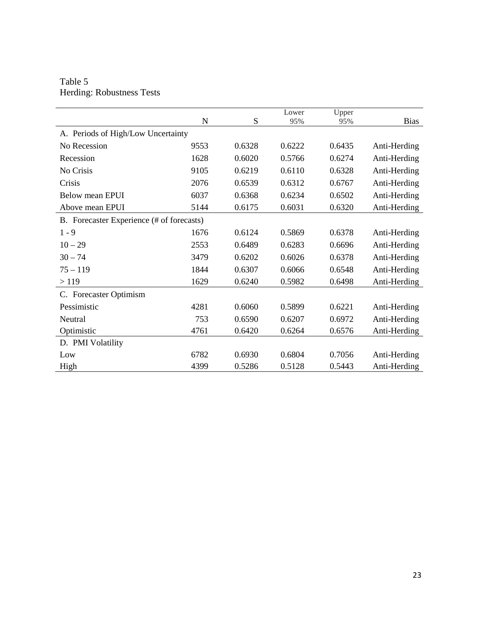Table 5 Herding: Robustness Tests

|                                           | N    | S      | Lower<br>95% | Upper<br>95% | <b>Bias</b>  |
|-------------------------------------------|------|--------|--------------|--------------|--------------|
| A. Periods of High/Low Uncertainty        |      |        |              |              |              |
| No Recession                              | 9553 | 0.6328 | 0.6222       | 0.6435       | Anti-Herding |
| Recession                                 | 1628 | 0.6020 | 0.5766       | 0.6274       | Anti-Herding |
| No Crisis                                 | 9105 | 0.6219 | 0.6110       | 0.6328       | Anti-Herding |
| Crisis                                    | 2076 | 0.6539 | 0.6312       | 0.6767       | Anti-Herding |
| Below mean EPUI                           | 6037 | 0.6368 | 0.6234       | 0.6502       | Anti-Herding |
| Above mean EPUI                           | 5144 | 0.6175 | 0.6031       | 0.6320       | Anti-Herding |
| B. Forecaster Experience (# of forecasts) |      |        |              |              |              |
| $1 - 9$                                   | 1676 | 0.6124 | 0.5869       | 0.6378       | Anti-Herding |
| $10 - 29$                                 | 2553 | 0.6489 | 0.6283       | 0.6696       | Anti-Herding |
| $30 - 74$                                 | 3479 | 0.6202 | 0.6026       | 0.6378       | Anti-Herding |
| $75 - 119$                                | 1844 | 0.6307 | 0.6066       | 0.6548       | Anti-Herding |
| >119                                      | 1629 | 0.6240 | 0.5982       | 0.6498       | Anti-Herding |
| C. Forecaster Optimism                    |      |        |              |              |              |
| Pessimistic                               | 4281 | 0.6060 | 0.5899       | 0.6221       | Anti-Herding |
| Neutral                                   | 753  | 0.6590 | 0.6207       | 0.6972       | Anti-Herding |
| Optimistic                                | 4761 | 0.6420 | 0.6264       | 0.6576       | Anti-Herding |
| D. PMI Volatility                         |      |        |              |              |              |
| Low                                       | 6782 | 0.6930 | 0.6804       | 0.7056       | Anti-Herding |
| High                                      | 4399 | 0.5286 | 0.5128       | 0.5443       | Anti-Herding |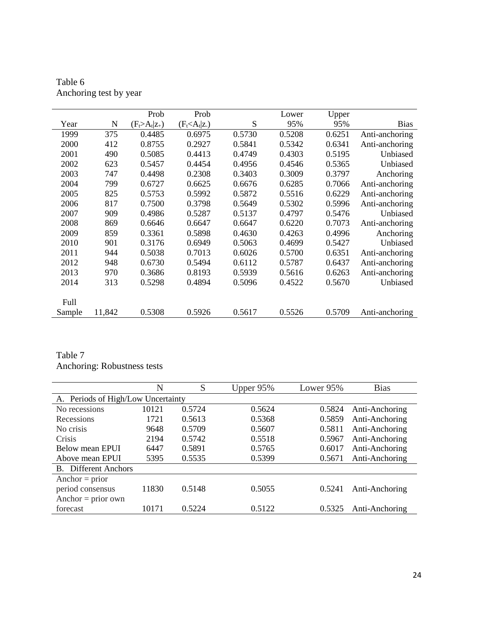|        |        | Prob                | Prob              |        | Lower  | Upper  |                |
|--------|--------|---------------------|-------------------|--------|--------|--------|----------------|
| Year   | N      | $(F_t > A_t   z_+)$ | $(F_t < A_t   z)$ | S      | 95%    | 95%    | <b>Bias</b>    |
| 1999   | 375    | 0.4485              | 0.6975            | 0.5730 | 0.5208 | 0.6251 | Anti-anchoring |
| 2000   | 412    | 0.8755              | 0.2927            | 0.5841 | 0.5342 | 0.6341 | Anti-anchoring |
| 2001   | 490    | 0.5085              | 0.4413            | 0.4749 | 0.4303 | 0.5195 | Unbiased       |
| 2002   | 623    | 0.5457              | 0.4454            | 0.4956 | 0.4546 | 0.5365 | Unbiased       |
| 2003   | 747    | 0.4498              | 0.2308            | 0.3403 | 0.3009 | 0.3797 | Anchoring      |
| 2004   | 799    | 0.6727              | 0.6625            | 0.6676 | 0.6285 | 0.7066 | Anti-anchoring |
| 2005   | 825    | 0.5753              | 0.5992            | 0.5872 | 0.5516 | 0.6229 | Anti-anchoring |
| 2006   | 817    | 0.7500              | 0.3798            | 0.5649 | 0.5302 | 0.5996 | Anti-anchoring |
| 2007   | 909    | 0.4986              | 0.5287            | 0.5137 | 0.4797 | 0.5476 | Unbiased       |
| 2008   | 869    | 0.6646              | 0.6647            | 0.6647 | 0.6220 | 0.7073 | Anti-anchoring |
| 2009   | 859    | 0.3361              | 0.5898            | 0.4630 | 0.4263 | 0.4996 | Anchoring      |
| 2010   | 901    | 0.3176              | 0.6949            | 0.5063 | 0.4699 | 0.5427 | Unbiased       |
| 2011   | 944    | 0.5038              | 0.7013            | 0.6026 | 0.5700 | 0.6351 | Anti-anchoring |
| 2012   | 948    | 0.6730              | 0.5494            | 0.6112 | 0.5787 | 0.6437 | Anti-anchoring |
| 2013   | 970    | 0.3686              | 0.8193            | 0.5939 | 0.5616 | 0.6263 | Anti-anchoring |
| 2014   | 313    | 0.5298              | 0.4894            | 0.5096 | 0.4522 | 0.5670 | Unbiased       |
|        |        |                     |                   |        |        |        |                |
| Full   |        |                     |                   |        |        |        |                |
| Sample | 11,842 | 0.5308              | 0.5926            | 0.5617 | 0.5526 | 0.5709 | Anti-anchoring |

Table 6 Anchoring test by year

Table 7 Anchoring: Robustness tests

|                                    | N     | S      | Upper $95\%$ | Lower 95% | <b>Bias</b>    |
|------------------------------------|-------|--------|--------------|-----------|----------------|
| A. Periods of High/Low Uncertainty |       |        |              |           |                |
| No recessions                      | 10121 | 0.5724 | 0.5624       | 0.5824    | Anti-Anchoring |
| Recessions                         | 1721  | 0.5613 | 0.5368       | 0.5859    | Anti-Anchoring |
| No crisis                          | 9648  | 0.5709 | 0.5607       | 0.5811    | Anti-Anchoring |
| Crisis                             | 2194  | 0.5742 | 0.5518       | 0.5967    | Anti-Anchoring |
| Below mean EPUI                    | 6447  | 0.5891 | 0.5765       | 0.6017    | Anti-Anchoring |
| Above mean EPUI                    | 5395  | 0.5535 | 0.5399       | 0.5671    | Anti-Anchoring |
| <b>B.</b> Different Anchors        |       |        |              |           |                |
| Anchor $=$ prior                   |       |        |              |           |                |
| period consensus                   | 11830 | 0.5148 | 0.5055       | 0.5241    | Anti-Anchoring |
| Anchor = $prior own$               |       |        |              |           |                |
| forecast                           | 10171 | 0.5224 | 0.5122       | 0.5325    | Anti-Anchoring |